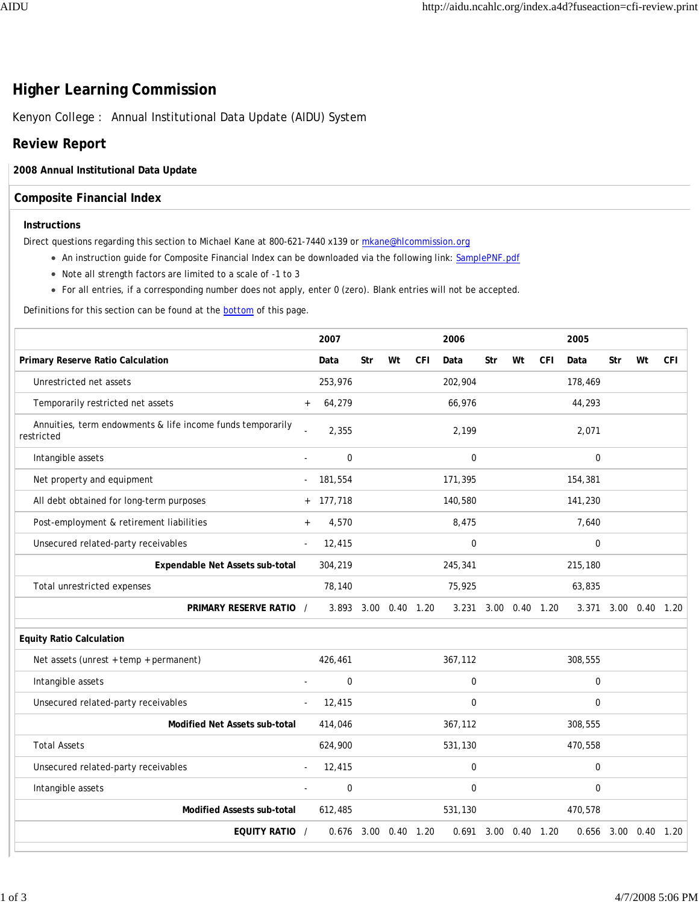# **Higher Learning Commission**

Kenyon College : Annual Institutional Data Update (AIDU) System

## **Review Report**

#### **2008 Annual Institutional Data Update**

### **Composite Financial Index**

#### **Instructions**

Direct questions regarding this section to Michael Kane at 800-621-7440 x139 or mkane@hlcommission.org

- An instruction guide for Composite Financial Index can be downloaded via the following link: SamplePNF.pdf
- Note all strength factors are limited to a scale of -1 to 3
- For all entries, if a corresponding number does not apply, enter 0 (zero). Blank entries will not be accepted.

Definitions for this section can be found at the bottom of this page.

|                                                                          |                          | 2007                 |     |                |            | 2006             |      |                |            | 2005        |     |                      |            |
|--------------------------------------------------------------------------|--------------------------|----------------------|-----|----------------|------------|------------------|------|----------------|------------|-------------|-----|----------------------|------------|
| Primary Reserve Ratio Calculation                                        |                          | Data                 | Str | Wt             | <b>CFI</b> | Data             | Str  | Wt             | <b>CFI</b> | Data        | Str | Wt                   | <b>CFI</b> |
| Unrestricted net assets                                                  |                          | 253,976              |     |                |            | 202,904          |      |                |            | 178,469     |     |                      |            |
| Temporarily restricted net assets                                        | $\ddot{}$                | 64,279               |     |                |            | 66,976           |      |                |            | 44,293      |     |                      |            |
| Annuities, term endowments & life income funds temporarily<br>restricted |                          | 2,355                |     |                |            | 2,199            |      |                |            | 2,071       |     |                      |            |
| Intangible assets                                                        | $\overline{a}$           | $\mathbf 0$          |     |                |            | $\mathbf 0$      |      |                |            | $\mathbf 0$ |     |                      |            |
| Net property and equipment                                               | $\overline{\phantom{a}}$ | 181,554              |     |                |            | 171,395          |      |                |            | 154,381     |     |                      |            |
| All debt obtained for long-term purposes                                 |                          | $+ 177,718$          |     |                |            | 140,580          |      |                |            | 141,230     |     |                      |            |
| Post-employment & retirement liabilities                                 | $\boldsymbol{+}$         | 4,570                |     |                |            | 8,475            |      |                |            | 7,640       |     |                      |            |
| Unsecured related-party receivables                                      | $\overline{\phantom{a}}$ | 12,415               |     |                |            | $\mathbf 0$      |      |                |            | $\mathbf 0$ |     |                      |            |
| Expendable Net Assets sub-total                                          |                          | 304,219              |     |                |            | 245,341          |      |                |            | 215,180     |     |                      |            |
| Total unrestricted expenses                                              |                          | 78,140               |     |                |            | 75,925           |      |                |            | 63,835      |     |                      |            |
| PRIMARY RESERVE RATIO /                                                  |                          | 3.893 3.00 0.40 1.20 |     |                |            | 3.231            |      | 3.00 0.40 1.20 |            |             |     | 3.371 3.00 0.40 1.20 |            |
| <b>Equity Ratio Calculation</b>                                          |                          |                      |     |                |            |                  |      |                |            |             |     |                      |            |
| Net assets (unrest + temp + permanent)                                   |                          | 426,461              |     |                |            | 367,112          |      |                |            | 308,555     |     |                      |            |
| Intangible assets                                                        | $\overline{a}$           | $\mathbf 0$          |     |                |            | $\mathbf 0$      |      |                |            | $\mathbf 0$ |     |                      |            |
| Unsecured related-party receivables                                      |                          | 12,415               |     |                |            | $\boldsymbol{0}$ |      |                |            | $\mathbf 0$ |     |                      |            |
| Modified Net Assets sub-total                                            |                          | 414,046              |     |                |            | 367,112          |      |                |            | 308,555     |     |                      |            |
| <b>Total Assets</b>                                                      |                          | 624,900              |     |                |            | 531,130          |      |                |            | 470,558     |     |                      |            |
| Unsecured related-party receivables                                      |                          | 12,415               |     |                |            | $\mathbf 0$      |      |                |            | $\mathbf 0$ |     |                      |            |
| Intangible assets                                                        | $\overline{a}$           | $\mathbf 0$          |     |                |            | $\mathbf 0$      |      |                |            | $\mathbf 0$ |     |                      |            |
| <b>Modified Assests sub-total</b>                                        |                          | 612,485              |     |                |            | 531,130          |      |                |            | 470,578     |     |                      |            |
| EQUITY RATIO /                                                           |                          | 0.676                |     | 3.00 0.40 1.20 |            | 0.691            | 3.00 | $0.40$ 1.20    |            |             |     | 0.656 3.00 0.40 1.20 |            |
|                                                                          |                          |                      |     |                |            |                  |      |                |            |             |     |                      |            |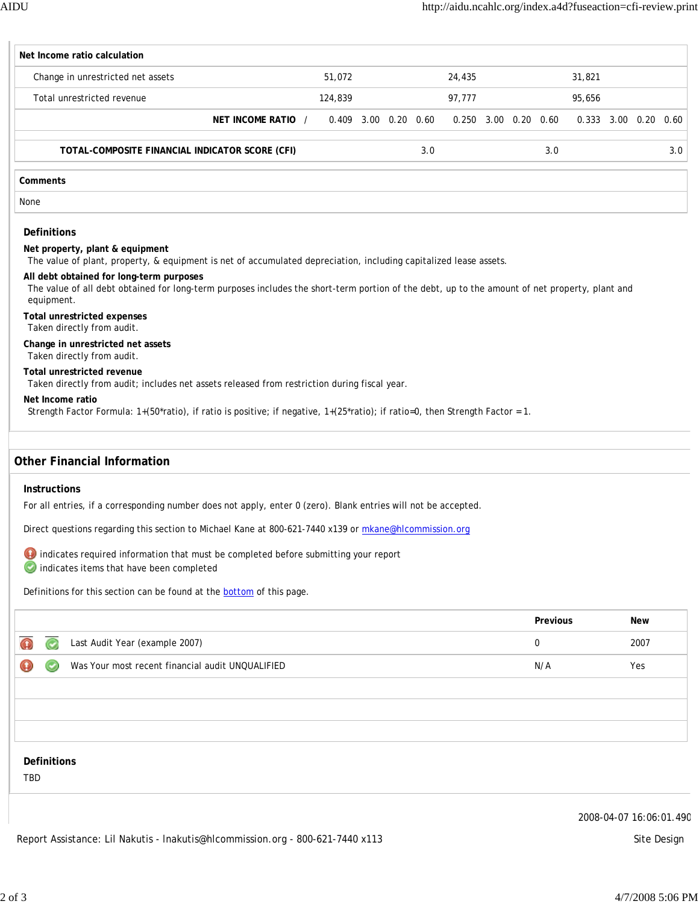| Net Income ratio calculation                                                                                                                                                                             |                    |                      |  |     |                      |  |          |                      |            |     |
|----------------------------------------------------------------------------------------------------------------------------------------------------------------------------------------------------------|--------------------|----------------------|--|-----|----------------------|--|----------|----------------------|------------|-----|
| Change in unrestricted net assets                                                                                                                                                                        |                    | 51,072               |  |     | 24,435               |  |          | 31,821               |            |     |
| Total unrestricted revenue                                                                                                                                                                               |                    | 124,839              |  |     | 97,777               |  |          | 95,656               |            |     |
|                                                                                                                                                                                                          | NET INCOME RATIO / | 0.409 3.00 0.20 0.60 |  |     | 0.250 3.00 0.20 0.60 |  |          | 0.333 3.00 0.20 0.60 |            |     |
| TOTAL-COMPOSITE FINANCIAL INDICATOR SCORE (CFI)                                                                                                                                                          |                    |                      |  | 3.0 |                      |  | 3.0      |                      |            | 3.0 |
| Comments                                                                                                                                                                                                 |                    |                      |  |     |                      |  |          |                      |            |     |
| None                                                                                                                                                                                                     |                    |                      |  |     |                      |  |          |                      |            |     |
| <b>Definitions</b>                                                                                                                                                                                       |                    |                      |  |     |                      |  |          |                      |            |     |
| Net property, plant & equipment<br>The value of plant, property, & equipment is net of accumulated depreciation, including capitalized lease assets.                                                     |                    |                      |  |     |                      |  |          |                      |            |     |
| All debt obtained for long-term purposes<br>The value of all debt obtained for long-term purposes includes the short-term portion of the debt, up to the amount of net property, plant and<br>equipment. |                    |                      |  |     |                      |  |          |                      |            |     |
| <b>Total unrestricted expenses</b><br>Taken directly from audit.                                                                                                                                         |                    |                      |  |     |                      |  |          |                      |            |     |
| Change in unrestricted net assets<br>Taken directly from audit.                                                                                                                                          |                    |                      |  |     |                      |  |          |                      |            |     |
| Total unrestricted revenue<br>Taken directly from audit; includes net assets released from restriction during fiscal year.                                                                               |                    |                      |  |     |                      |  |          |                      |            |     |
| Net Income ratio<br>Strength Factor Formula: 1+(50*ratio), if ratio is positive; if negative, 1+(25*ratio); if ratio=0, then Strength Factor = 1.                                                        |                    |                      |  |     |                      |  |          |                      |            |     |
| <b>Other Financial Information</b>                                                                                                                                                                       |                    |                      |  |     |                      |  |          |                      |            |     |
| Instructions                                                                                                                                                                                             |                    |                      |  |     |                      |  |          |                      |            |     |
| For all entries, if a corresponding number does not apply, enter 0 (zero). Blank entries will not be accepted.                                                                                           |                    |                      |  |     |                      |  |          |                      |            |     |
| Direct questions regarding this section to Michael Kane at 800-621-7440 x139 or mkane@hlcommission.org                                                                                                   |                    |                      |  |     |                      |  |          |                      |            |     |
| indicates required information that must be completed before submitting your report<br>indicates items that have been completed                                                                          |                    |                      |  |     |                      |  |          |                      |            |     |
| Definitions for this section can be found at the bottom of this page.                                                                                                                                    |                    |                      |  |     |                      |  |          |                      |            |     |
|                                                                                                                                                                                                          |                    |                      |  |     |                      |  | Previous |                      | <b>New</b> |     |
| Last Audit Year (example 2007)                                                                                                                                                                           |                    |                      |  |     |                      |  | 0        |                      | 2007       |     |
| Was Your most recent financial audit UNQUALIFIED                                                                                                                                                         |                    |                      |  |     |                      |  | N/A      |                      | Yes        |     |

**Definitions**

TBD

2008-04-07 16:06:01.490